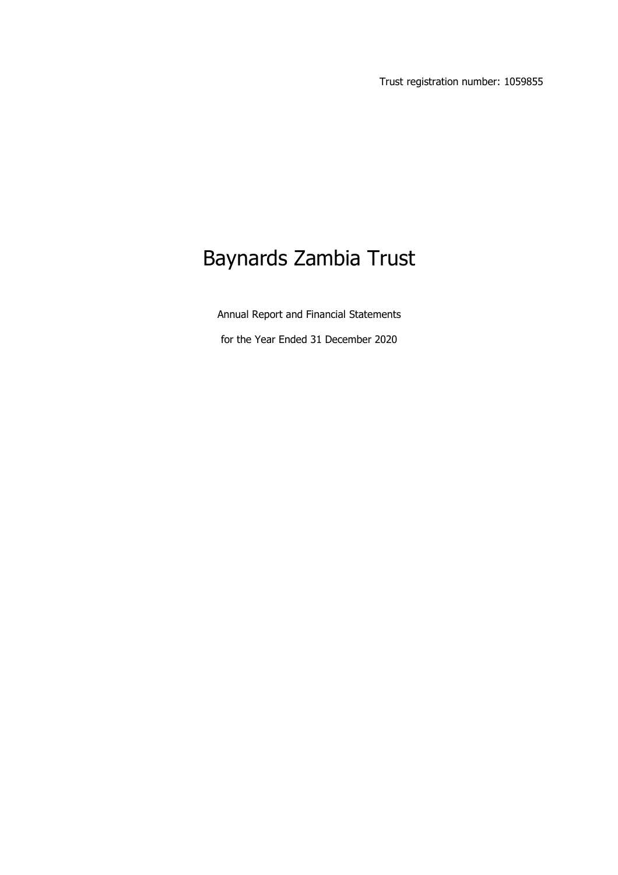Trust registration number: 1059855

# Baynards Zambia Trust

Annual Report and Financial Statements

for the Year Ended 31 December 2020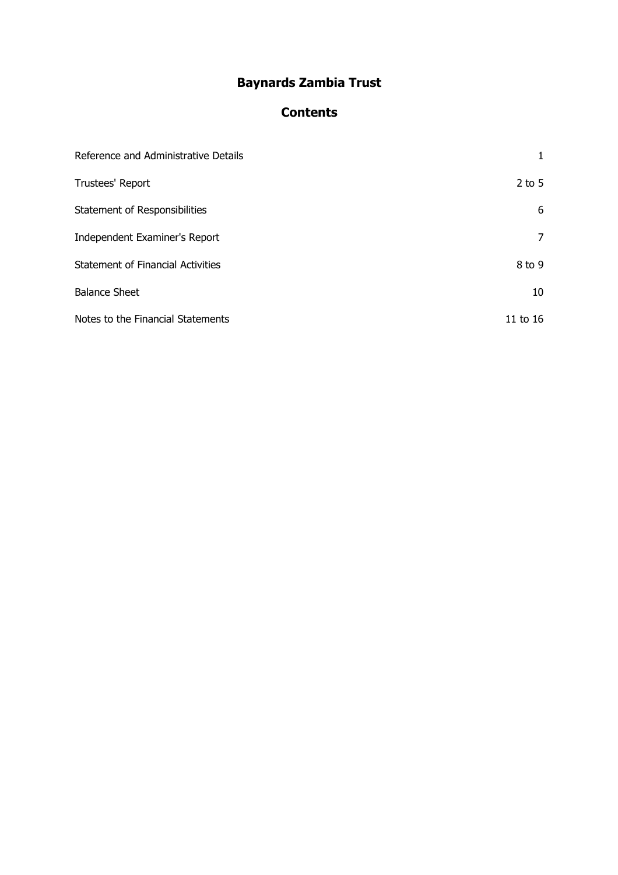# **Contents**

| Reference and Administrative Details     |          |
|------------------------------------------|----------|
| Trustees' Report                         | $2$ to 5 |
| Statement of Responsibilities            | 6        |
| Independent Examiner's Report            | 7        |
| <b>Statement of Financial Activities</b> | 8 to 9   |
| <b>Balance Sheet</b>                     | 10       |
| Notes to the Financial Statements        | 11 to 16 |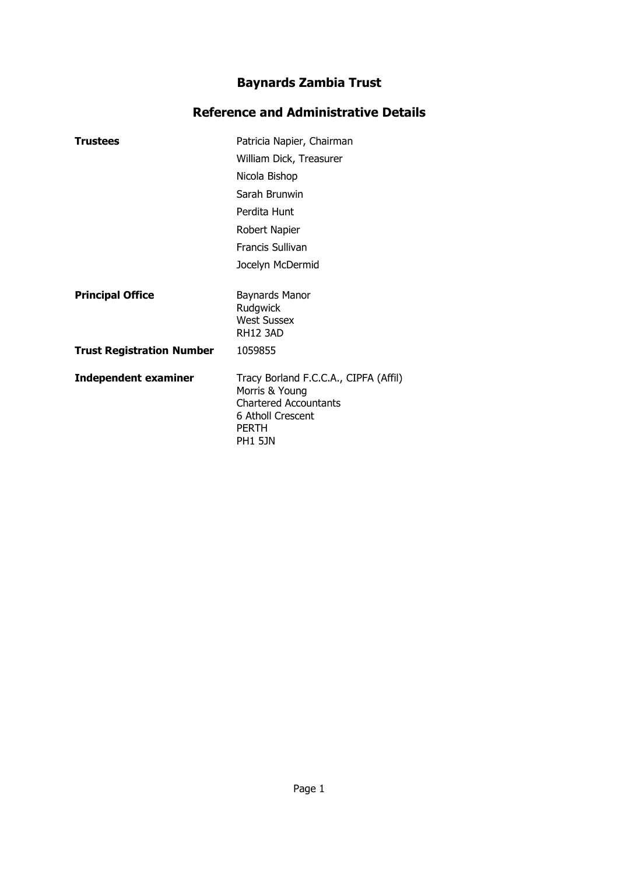# **Reference and Administrative Details**

| <b>Trustees</b>                  | Patricia Napier, Chairman                                                                                                                      |  |  |  |
|----------------------------------|------------------------------------------------------------------------------------------------------------------------------------------------|--|--|--|
|                                  | William Dick, Treasurer                                                                                                                        |  |  |  |
|                                  | Nicola Bishop                                                                                                                                  |  |  |  |
|                                  | Sarah Brunwin                                                                                                                                  |  |  |  |
|                                  | Perdita Hunt                                                                                                                                   |  |  |  |
|                                  | Robert Napier                                                                                                                                  |  |  |  |
|                                  | <b>Francis Sullivan</b>                                                                                                                        |  |  |  |
|                                  | Jocelyn McDermid                                                                                                                               |  |  |  |
| <b>Principal Office</b>          | Baynards Manor<br>Rudgwick<br><b>West Sussex</b><br><b>RH12 3AD</b>                                                                            |  |  |  |
| <b>Trust Registration Number</b> | 1059855                                                                                                                                        |  |  |  |
| <b>Independent examiner</b>      | Tracy Borland F.C.C.A., CIPFA (Affil)<br>Morris & Young<br><b>Chartered Accountants</b><br>6 Atholl Crescent<br><b>PERTH</b><br><b>PH1 5JN</b> |  |  |  |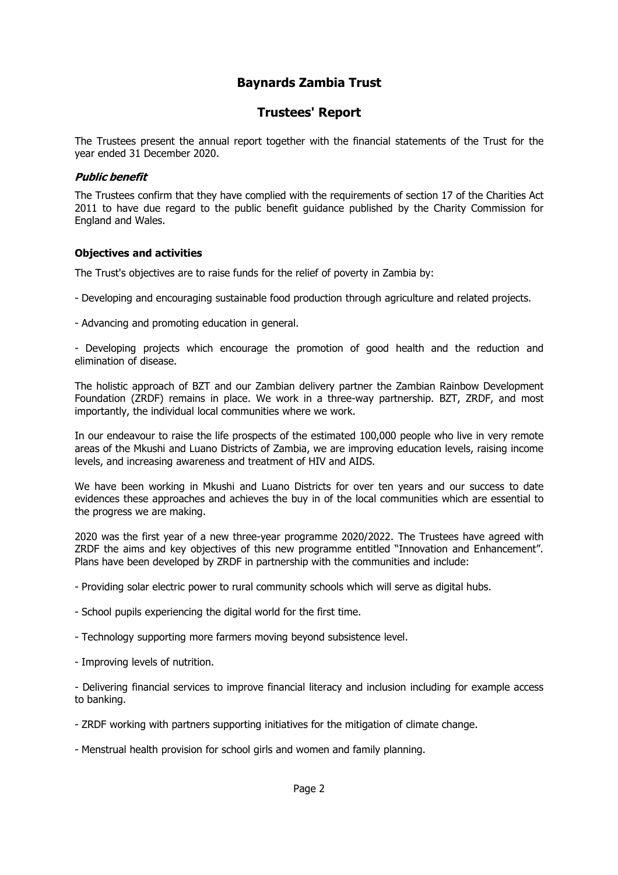### **Trustees' Report**

The Trustees present the annual report together with the financial statements of the Trust for the year ended 31 December 2020.

#### **Public benefit**

The Trustees confirm that they have complied with the requirements of section 17 of the Charities Act 2011 to have due regard to the public benefit guidance published by the Charity Commission for England and Wales.

#### **Objectives and activities**

The Trust's objectives are to raise funds for the relief of poverty in Zambia by:

- Developing and encouraging sustainable food production through agriculture and related projects.
- Advancing and promoting education in general.

- Developing projects which encourage the promotion of good health and the reduction and elimination of disease.

The holistic approach of BZT and our Zambian delivery partner the Zambian Rainbow Development Foundation (ZRDF) remains in place. We work in a three-way partnership. BZT, ZRDF, and most importantly, the individual local communities where we work.

In our endeavour to raise the life prospects of the estimated 100,000 people who live in very remote areas of the Mkushi and Luano Districts of Zambia, we are improving education levels, raising income levels, and increasing awareness and treatment of HIV and AIDS.

We have been working in Mkushi and Luano Districts for over ten years and our success to date evidences these approaches and achieves the buy in of the local communities which are essential to the progress we are making.

2020 was the first year of a new three-year programme 2020/2022. The Trustees have agreed with ZRDF the aims and key objectives of this new programme entitled "Innovation and Enhancement". Plans have been developed by ZRDF in partnership with the communities and include:

- Providing solar electric power to rural community schools which will serve as digital hubs.

- School pupils experiencing the digital world for the first time.
- Technology supporting more farmers moving beyond subsistence level.
- Improving levels of nutrition.

- Delivering financial services to improve financial literacy and inclusion including for example access to banking.

- ZRDF working with partners supporting initiatives for the mitigation of climate change.
- Menstrual health provision for school girls and women and family planning.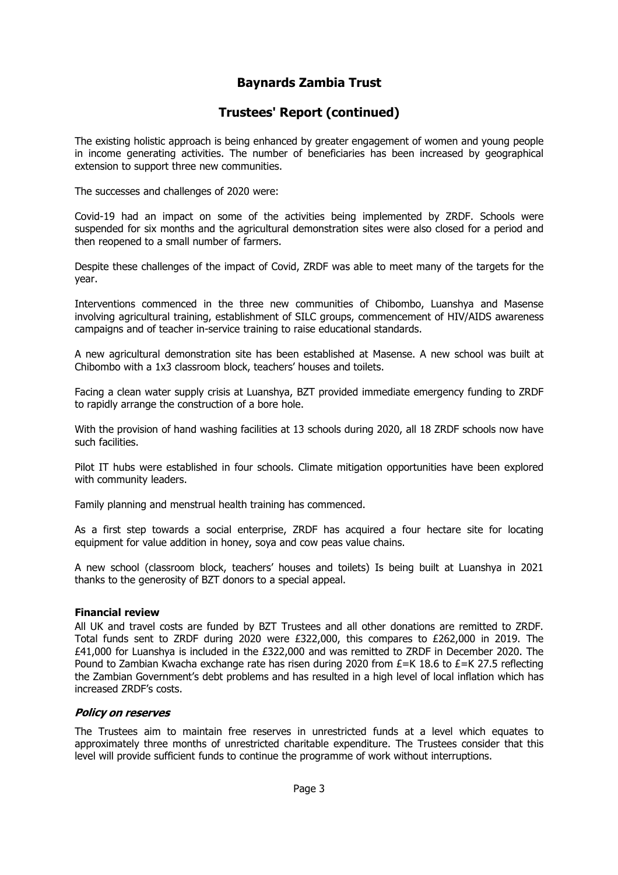# **Trustees' Report (continued)**

The existing holistic approach is being enhanced by greater engagement of women and young people in income generating activities. The number of beneficiaries has been increased by geographical extension to support three new communities.

The successes and challenges of 2020 were:

Covid-19 had an impact on some of the activities being implemented by ZRDF. Schools were suspended for six months and the agricultural demonstration sites were also closed for a period and then reopened to a small number of farmers.

Despite these challenges of the impact of Covid, ZRDF was able to meet many of the targets for the year.

Interventions commenced in the three new communities of Chibombo, Luanshya and Masense involving agricultural training, establishment of SILC groups, commencement of HIV/AIDS awareness campaigns and of teacher in-service training to raise educational standards.

A new agricultural demonstration site has been established at Masense. A new school was built at Chibombo with a 1x3 classroom block, teachers' houses and toilets.

Facing a clean water supply crisis at Luanshya, BZT provided immediate emergency funding to ZRDF to rapidly arrange the construction of a bore hole.

With the provision of hand washing facilities at 13 schools during 2020, all 18 ZRDF schools now have such facilities.

Pilot IT hubs were established in four schools. Climate mitigation opportunities have been explored with community leaders.

Family planning and menstrual health training has commenced.

As a first step towards a social enterprise, ZRDF has acquired a four hectare site for locating equipment for value addition in honey, soya and cow peas value chains.

A new school (classroom block, teachers' houses and toilets) Is being built at Luanshya in 2021 thanks to the generosity of BZT donors to a special appeal.

#### **Financial review**

All UK and travel costs are funded by BZT Trustees and all other donations are remitted to ZRDF. Total funds sent to ZRDF during 2020 were £322,000, this compares to £262,000 in 2019. The £41,000 for Luanshya is included in the £322,000 and was remitted to ZRDF in December 2020. The Pound to Zambian Kwacha exchange rate has risen during 2020 from  $E=K$  18.6 to  $E=K$  27.5 reflecting the Zambian Government's debt problems and has resulted in a high level of local inflation which has increased ZRDF's costs.

#### **Policy on reserves**

The Trustees aim to maintain free reserves in unrestricted funds at a level which equates to approximately three months of unrestricted charitable expenditure. The Trustees consider that this level will provide sufficient funds to continue the programme of work without interruptions.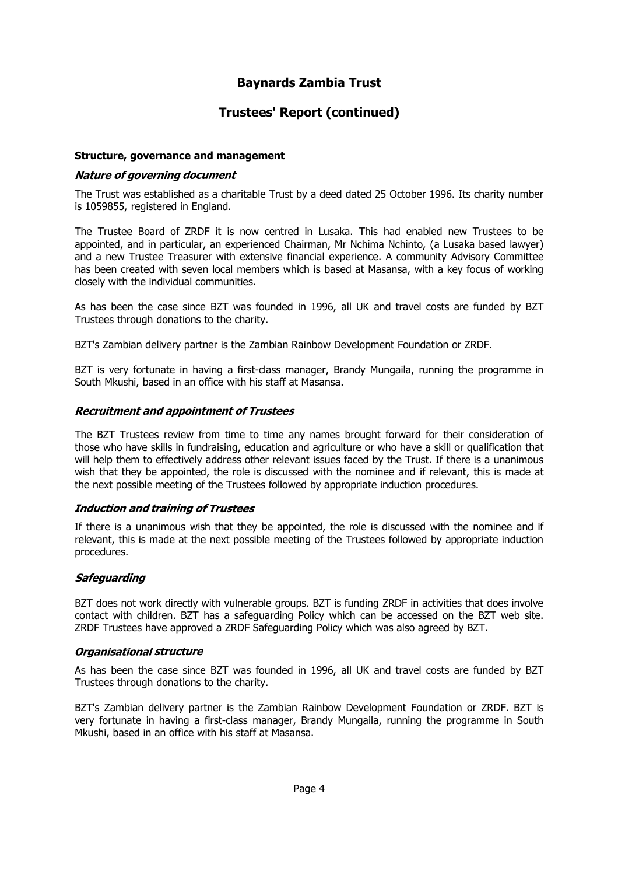### **Trustees' Report (continued)**

#### **Structure, governance and management**

#### **Nature of governing document**

The Trust was established as a charitable Trust by a deed dated 25 October 1996. Its charity number is 1059855, registered in England.

The Trustee Board of ZRDF it is now centred in Lusaka. This had enabled new Trustees to be appointed, and in particular, an experienced Chairman, Mr Nchima Nchinto, (a Lusaka based lawyer) and a new Trustee Treasurer with extensive financial experience. A community Advisory Committee has been created with seven local members which is based at Masansa, with a key focus of working closely with the individual communities.

As has been the case since BZT was founded in 1996, all UK and travel costs are funded by BZT Trustees through donations to the charity.

BZT's Zambian delivery partner is the Zambian Rainbow Development Foundation or ZRDF.

BZT is very fortunate in having a first-class manager, Brandy Mungaila, running the programme in South Mkushi, based in an office with his staff at Masansa.

#### **Recruitment and appointment of Trustees**

The BZT Trustees review from time to time any names brought forward for their consideration of those who have skills in fundraising, education and agriculture or who have a skill or qualification that will help them to effectively address other relevant issues faced by the Trust. If there is a unanimous wish that they be appointed, the role is discussed with the nominee and if relevant, this is made at the next possible meeting of the Trustees followed by appropriate induction procedures.

#### **Induction and training of Trustees**

If there is a unanimous wish that they be appointed, the role is discussed with the nominee and if relevant, this is made at the next possible meeting of the Trustees followed by appropriate induction procedures.

#### **Safequarding**

BZT does not work directly with vulnerable groups. BZT is funding ZRDF in activities that does involve contact with children. BZT has a safeguarding Policy which can be accessed on the BZT web site. ZRDF Trustees have approved a ZRDF Safeguarding Policy which was also agreed by BZT.

#### **Organisational structure**

As has been the case since BZT was founded in 1996, all UK and travel costs are funded by BZT Trustees through donations to the charity.

BZT's Zambian delivery partner is the Zambian Rainbow Development Foundation or ZRDF. BZT is very fortunate in having a first-class manager, Brandy Mungaila, running the programme in South Mkushi, based in an office with his staff at Masansa.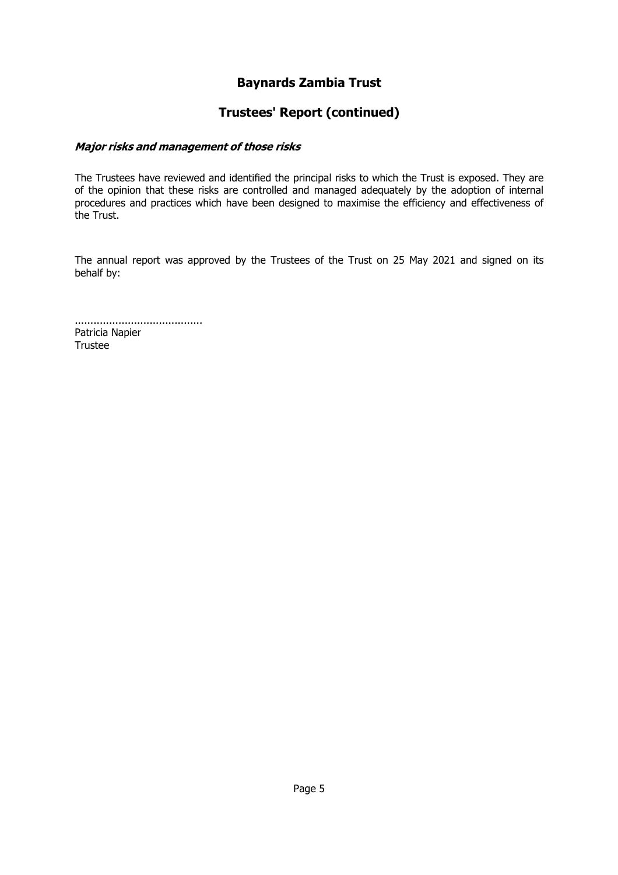### **Trustees' Report (continued)**

#### Major risks and management of those risks

The Trustees have reviewed and identified the principal risks to which the Trust is exposed. They are of the opinion that these risks are controlled and managed adequately by the adoption of internal procedures and practices which have been designed to maximise the efficiency and effectiveness of the Trust.

The annual report was approved by the Trustees of the Trust on 25 May 2021 and signed on its behalf by:

......................................... Patricia Napier Trustee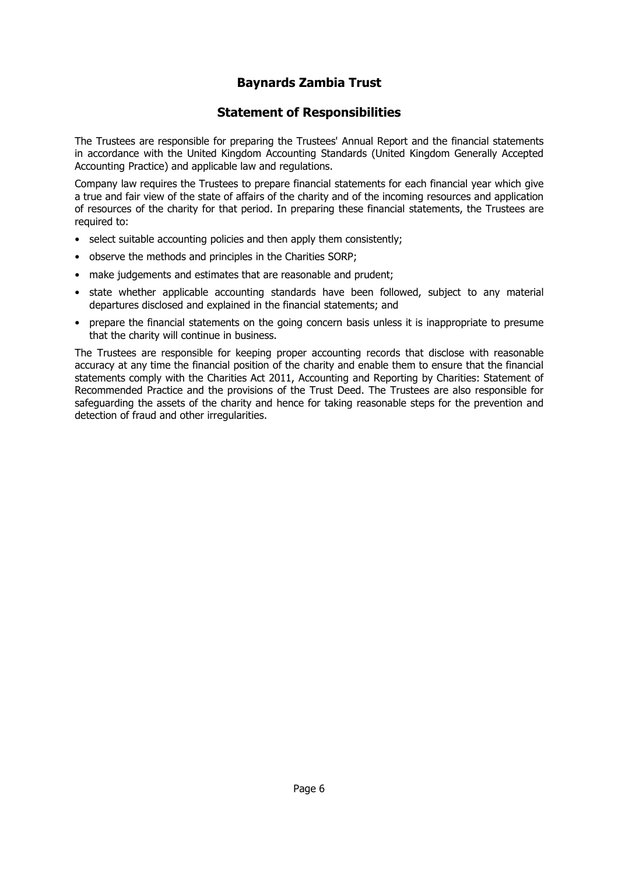### **Statement of Responsibilities**

The Trustees are responsible for preparing the Trustees' Annual Report and the financial statements in accordance with the United Kingdom Accounting Standards (United Kingdom Generally Accepted Accounting Practice) and applicable law and regulations.

Company law requires the Trustees to prepare financial statements for each financial year which give a true and fair view of the state of affairs of the charity and of the incoming resources and application of resources of the charity for that period. In preparing these financial statements, the Trustees are required to:

- select suitable accounting policies and then apply them consistently;
- observe the methods and principles in the Charities SORP;
- make judgements and estimates that are reasonable and prudent;
- state whether applicable accounting standards have been followed, subject to any material departures disclosed and explained in the financial statements; and
- prepare the financial statements on the going concern basis unless it is inappropriate to presume that the charity will continue in business.

The Trustees are responsible for keeping proper accounting records that disclose with reasonable accuracy at any time the financial position of the charity and enable them to ensure that the financial statements comply with the Charities Act 2011, Accounting and Reporting by Charities: Statement of Recommended Practice and the provisions of the Trust Deed. The Trustees are also responsible for safeguarding the assets of the charity and hence for taking reasonable steps for the prevention and detection of fraud and other irregularities.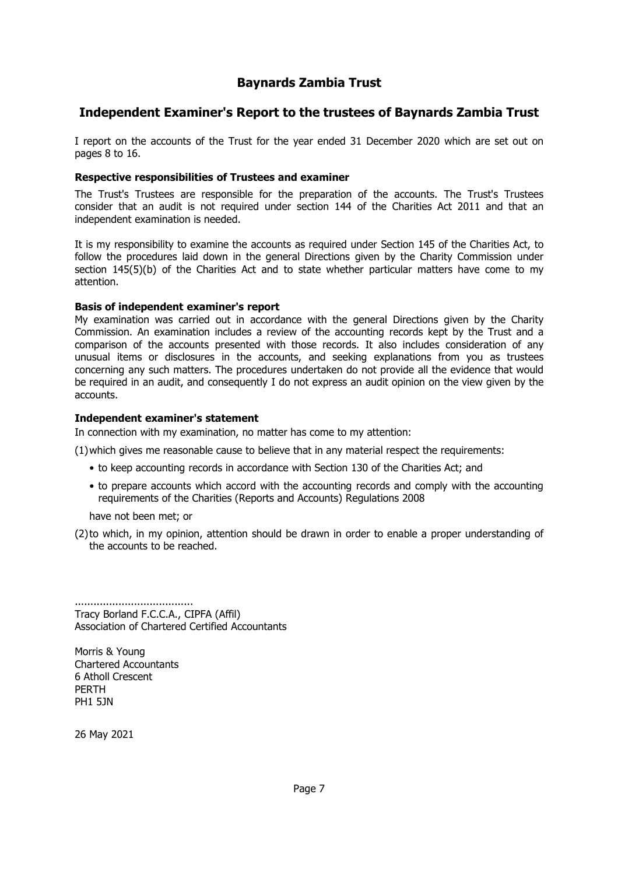### **Independent Examiner's Report to the trustees of Baynards Zambia Trust**

I report on the accounts of the Trust for the year ended 31 December 2020 which are set out on pages 8 to 16.

#### **Respective responsibilities of Trustees and examiner**

The Trust's Trustees are responsible for the preparation of the accounts. The Trust's Trustees consider that an audit is not required under section 144 of the Charities Act 2011 and that an independent examination is needed.

It is my responsibility to examine the accounts as required under Section 145 of the Charities Act, to follow the procedures laid down in the general Directions given by the Charity Commission under section 145(5)(b) of the Charities Act and to state whether particular matters have come to my attention.

#### **Basis of independent examiner's report**

My examination was carried out in accordance with the general Directions given by the Charity Commission. An examination includes a review of the accounting records kept by the Trust and a comparison of the accounts presented with those records. It also includes consideration of any unusual items or disclosures in the accounts, and seeking explanations from you as trustees concerning any such matters. The procedures undertaken do not provide all the evidence that would be required in an audit, and consequently I do not express an audit opinion on the view given by the accounts.

#### **Independent examiner's statement**

In connection with my examination, no matter has come to my attention:

(1)which gives me reasonable cause to believe that in any material respect the requirements:

- to keep accounting records in accordance with Section 130 of the Charities Act; and
- to prepare accounts which accord with the accounting records and comply with the accounting requirements of the Charities (Reports and Accounts) Regulations 2008

have not been met; or

(2) to which, in my opinion, attention should be drawn in order to enable a proper understanding of the accounts to be reached.

...................................... Tracy Borland F.C.C.A., CIPFA (Affil) Association of Chartered Certified Accountants

Morris & Young Chartered Accountants 6 Atholl Crescent PERTH PH1 5JN

26 May 2021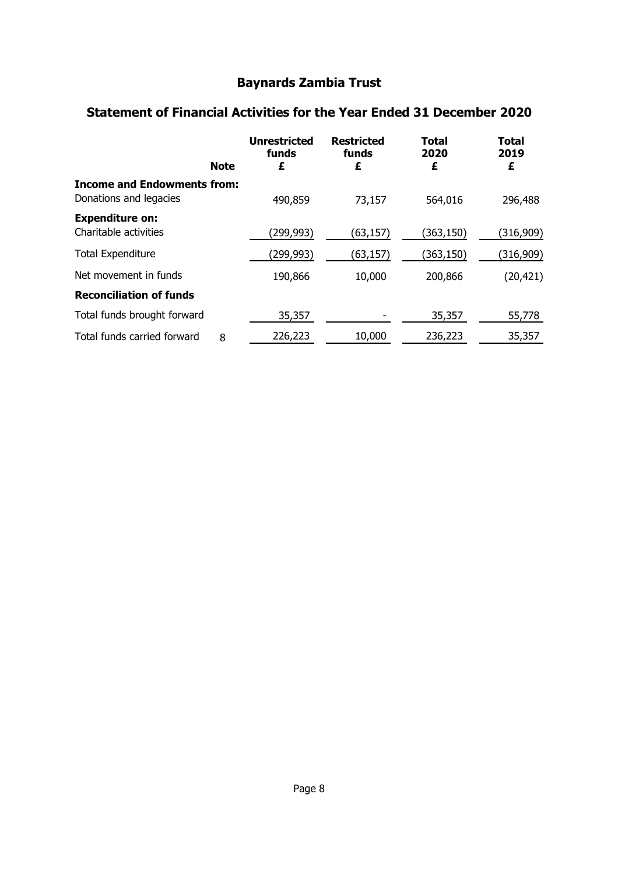# **Statement of Financial Activities for the Year Ended 31 December 2020**

| <b>Note</b>                                                  | <b>Unrestricted</b><br>funds<br>£ | <b>Restricted</b><br>funds<br>£ | <b>Total</b><br>2020<br>£ | <b>Total</b><br>2019<br>£ |
|--------------------------------------------------------------|-----------------------------------|---------------------------------|---------------------------|---------------------------|
| <b>Income and Endowments from:</b><br>Donations and legacies | 490,859                           | 73,157                          | 564,016                   | 296,488                   |
| <b>Expenditure on:</b><br>Charitable activities              | (299,993)                         | (63, 157)                       | (363,150)                 | (316,909)                 |
| <b>Total Expenditure</b>                                     | (299,993)                         | (63, 157)                       | (363,150)                 | (316,909)                 |
| Net movement in funds                                        | 190,866                           | 10,000                          | 200,866                   | (20, 421)                 |
| <b>Reconciliation of funds</b>                               |                                   |                                 |                           |                           |
| Total funds brought forward                                  | 35,357                            |                                 | 35,357                    | 55,778                    |
| Total funds carried forward<br>8                             | 226,223                           | 10,000                          | 236,223                   | 35,357                    |
|                                                              |                                   |                                 |                           |                           |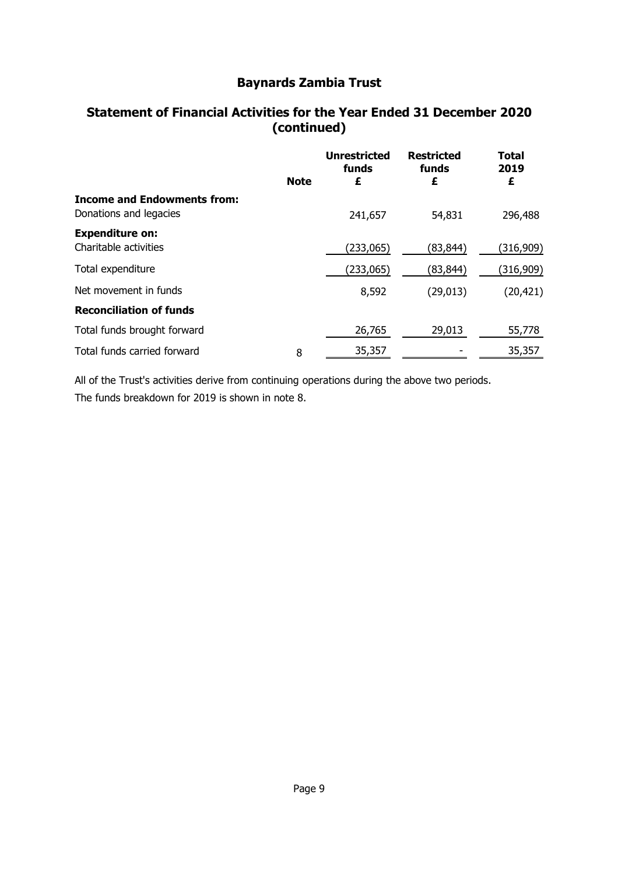# **Statement of Financial Activities for the Year Ended 31 December 2020 (continued)**

|                                                              |             | <b>Unrestricted</b><br>funds | <b>Restricted</b><br>funds | <b>Total</b><br>2019 |
|--------------------------------------------------------------|-------------|------------------------------|----------------------------|----------------------|
|                                                              | <b>Note</b> | £                            | £                          | £                    |
| <b>Income and Endowments from:</b><br>Donations and legacies |             | 241,657                      | 54,831                     | 296,488              |
| <b>Expenditure on:</b><br>Charitable activities              |             | (233,065)                    | (83,844)                   | (316,909)            |
| Total expenditure                                            |             | (233,065)                    | (83,844)                   | (316,909)            |
| Net movement in funds                                        |             | 8,592                        | (29, 013)                  | (20, 421)            |
| <b>Reconciliation of funds</b>                               |             |                              |                            |                      |
| Total funds brought forward                                  |             | 26,765                       | 29,013                     | 55,778               |
| Total funds carried forward                                  | 8           | 35,357                       |                            | 35,357               |

All of the Trust's activities derive from continuing operations during the above two periods. The funds breakdown for 2019 is shown in note 8.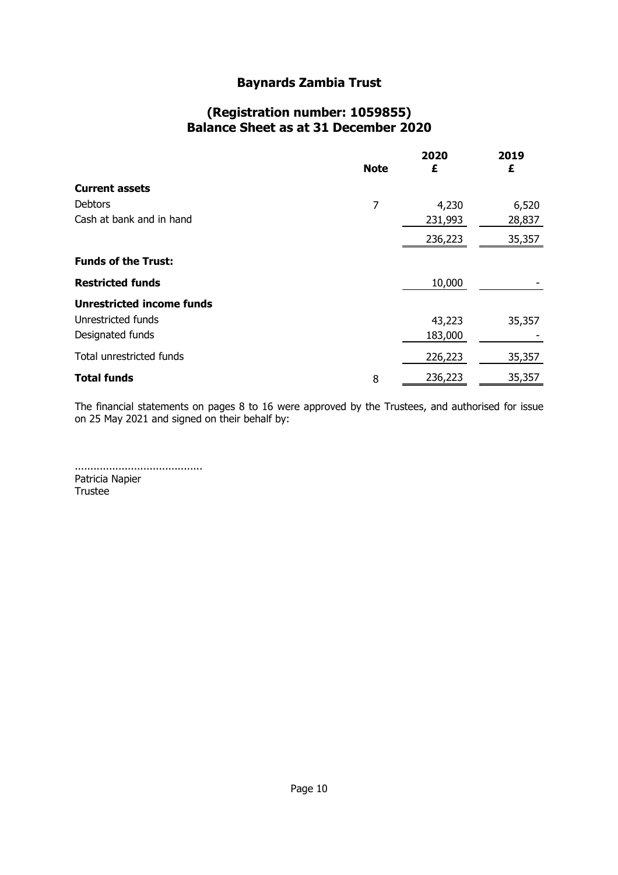### **(Registration number: 1059855) Balance Sheet as at 31 December 2020**

|                                  | <b>Note</b> | 2020<br>£ | 2019<br>£ |
|----------------------------------|-------------|-----------|-----------|
| <b>Current assets</b>            |             |           |           |
| <b>Debtors</b>                   | 7           | 4,230     | 6,520     |
| Cash at bank and in hand         |             | 231,993   | 28,837    |
|                                  |             | 236,223   | 35,357    |
| <b>Funds of the Trust:</b>       |             |           |           |
| <b>Restricted funds</b>          |             | 10,000    |           |
| <b>Unrestricted income funds</b> |             |           |           |
| Unrestricted funds               |             | 43,223    | 35,357    |
| Designated funds                 |             | 183,000   |           |
| Total unrestricted funds         |             | 226,223   | 35,357    |
| <b>Total funds</b>               | 8           | 236,223   | 35,357    |

The financial statements on pages 8 to 16 were approved by the Trustees, and authorised for issue on 25 May 2021 and signed on their behalf by:

......................................... Patricia Napier Trustee

Page 10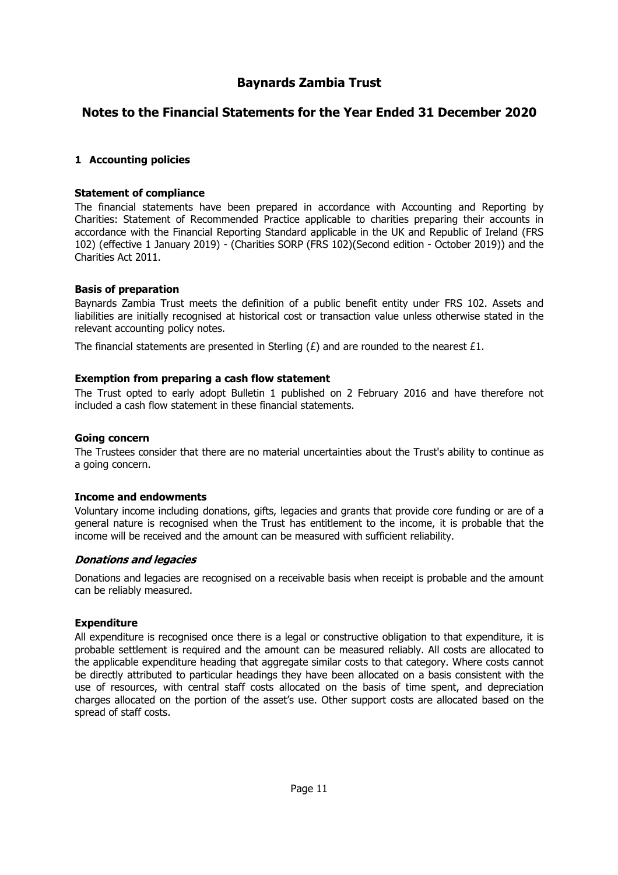### **Notes to the Financial Statements for the Year Ended 31 December 2020**

#### **1 Accounting policies**

#### **Statement of compliance**

The financial statements have been prepared in accordance with Accounting and Reporting by Charities: Statement of Recommended Practice applicable to charities preparing their accounts in accordance with the Financial Reporting Standard applicable in the UK and Republic of Ireland (FRS 102) (effective 1 January 2019) - (Charities SORP (FRS 102)(Second edition - October 2019)) and the Charities Act 2011.

#### **Basis of preparation**

Baynards Zambia Trust meets the definition of a public benefit entity under FRS 102. Assets and liabilities are initially recognised at historical cost or transaction value unless otherwise stated in the relevant accounting policy notes.

The financial statements are presented in Sterling  $(E)$  and are rounded to the nearest £1.

#### **Exemption from preparing a cash flow statement**

The Trust opted to early adopt Bulletin 1 published on 2 February 2016 and have therefore not included a cash flow statement in these financial statements.

#### **Going concern**

The Trustees consider that there are no material uncertainties about the Trust's ability to continue as a going concern.

#### **Income and endowments**

Voluntary income including donations, gifts, legacies and grants that provide core funding or are of a general nature is recognised when the Trust has entitlement to the income, it is probable that the income will be received and the amount can be measured with sufficient reliability.

#### **Donations and legacies**

Donations and legacies are recognised on a receivable basis when receipt is probable and the amount can be reliably measured.

#### **Expenditure**

All expenditure is recognised once there is a legal or constructive obligation to that expenditure, it is probable settlement is required and the amount can be measured reliably. All costs are allocated to the applicable expenditure heading that aggregate similar costs to that category. Where costs cannot be directly attributed to particular headings they have been allocated on a basis consistent with the use of resources, with central staff costs allocated on the basis of time spent, and depreciation charges allocated on the portion of the asset's use. Other support costs are allocated based on the spread of staff costs.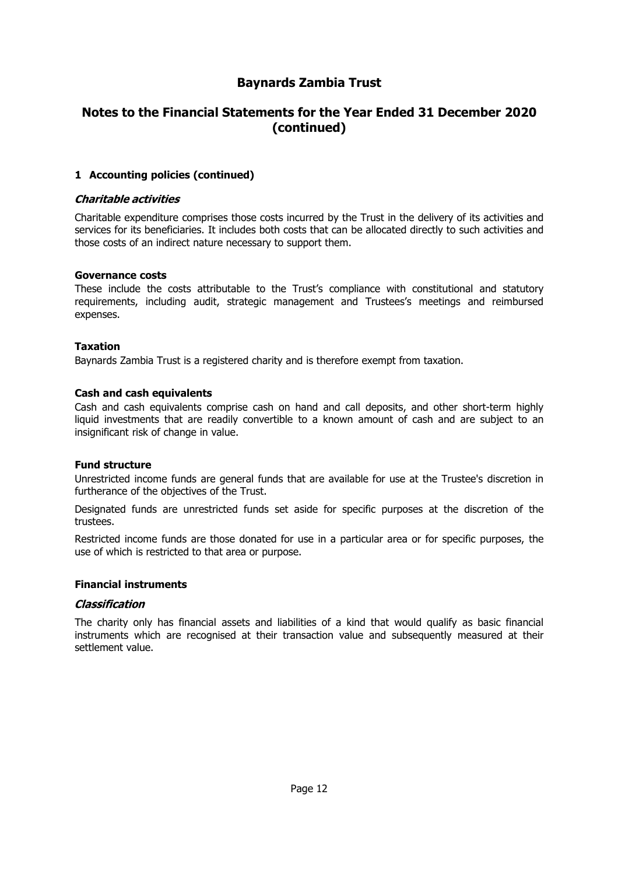### **Notes to the Financial Statements for the Year Ended 31 December 2020 (continued)**

#### **1 Accounting policies (continued)**

#### **Charitable activities**

Charitable expenditure comprises those costs incurred by the Trust in the delivery of its activities and services for its beneficiaries. It includes both costs that can be allocated directly to such activities and those costs of an indirect nature necessary to support them.

#### **Governance costs**

These include the costs attributable to the Trust's compliance with constitutional and statutory requirements, including audit, strategic management and Trustees's meetings and reimbursed expenses.

#### **Taxation**

Baynards Zambia Trust is a registered charity and is therefore exempt from taxation.

#### **Cash and cash equivalents**

Cash and cash equivalents comprise cash on hand and call deposits, and other short-term highly liquid investments that are readily convertible to a known amount of cash and are subject to an insignificant risk of change in value.

#### **Fund structure**

Unrestricted income funds are general funds that are available for use at the Trustee's discretion in furtherance of the objectives of the Trust.

Designated funds are unrestricted funds set aside for specific purposes at the discretion of the trustees.

Restricted income funds are those donated for use in a particular area or for specific purposes, the use of which is restricted to that area or purpose.

#### **Financial instruments**

#### Classification

The charity only has financial assets and liabilities of a kind that would qualify as basic financial instruments which are recognised at their transaction value and subsequently measured at their settlement value.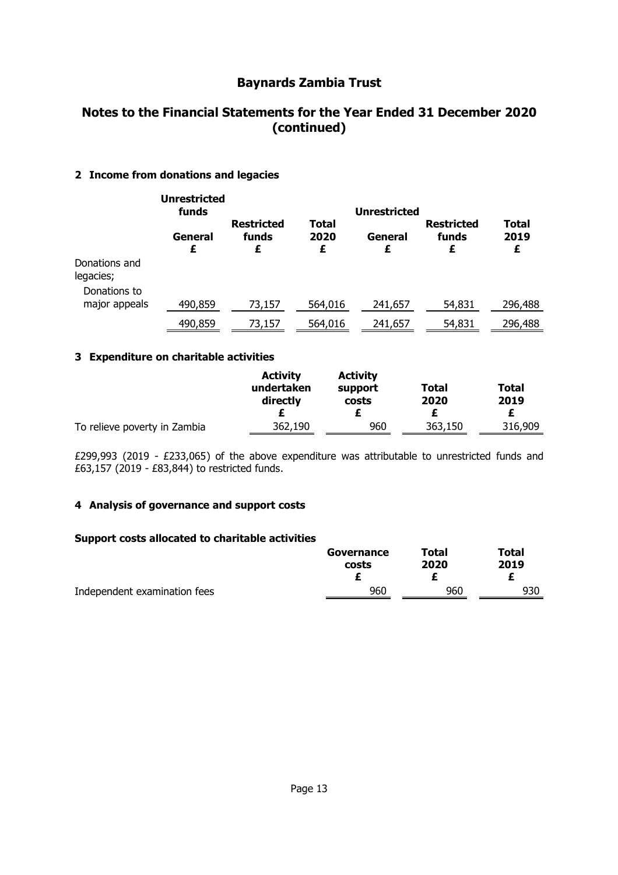# **Notes to the Financial Statements for the Year Ended 31 December 2020 (continued)**

#### **2 Income from donations and legacies**

|                               | <b>Unrestricted</b><br>funds |                                 |                    | <b>Unrestricted</b> |                                 |                    |
|-------------------------------|------------------------------|---------------------------------|--------------------|---------------------|---------------------------------|--------------------|
|                               | General<br>£                 | <b>Restricted</b><br>funds<br>£ | Total<br>2020<br>£ | General<br>£        | <b>Restricted</b><br>funds<br>£ | Total<br>2019<br>£ |
| Donations and<br>legacies;    |                              |                                 |                    |                     |                                 |                    |
| Donations to<br>major appeals | 490,859                      | 73,157                          | 564,016            | 241,657             | 54,831                          | 296,488            |
|                               | 490,859                      | 73,157                          | 564,016            | 241,657             | 54,831                          | 296,488            |

#### **3 Expenditure on charitable activities**

|                              | <b>Activity</b><br>undertaken<br>directly | <b>Activity</b><br>support<br>costs | Total<br>2020 | <b>Total</b><br>2019 |
|------------------------------|-------------------------------------------|-------------------------------------|---------------|----------------------|
| To relieve poverty in Zambia | 362,190                                   | 960                                 | 363,150       | 316,909              |

£299,993 (2019 - £233,065) of the above expenditure was attributable to unrestricted funds and £63,157 (2019 - £83,844) to restricted funds.

#### **4 Analysis of governance and support costs**

#### **Support costs allocated to charitable activities**

|                              | Governance | Total | Total |
|------------------------------|------------|-------|-------|
|                              | costs      | 2020  | 2019  |
|                              |            |       |       |
| Independent examination fees | 960        | 960   | 930   |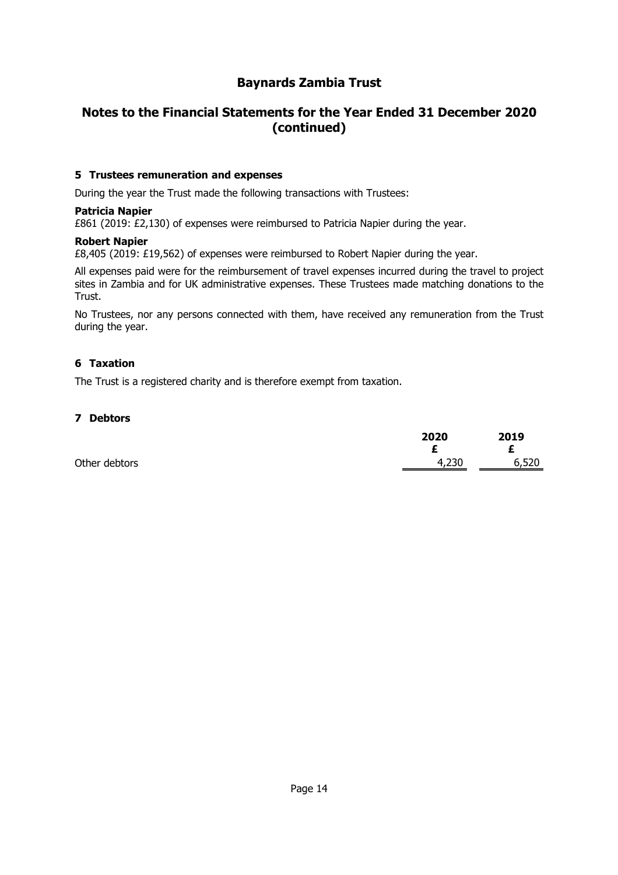# **Notes to the Financial Statements for the Year Ended 31 December 2020 (continued)**

#### **5 Trustees remuneration and expenses**

During the year the Trust made the following transactions with Trustees:

#### **Patricia Napier**

£861 (2019: £2,130) of expenses were reimbursed to Patricia Napier during the year.

#### **Robert Napier**

£8,405 (2019: £19,562) of expenses were reimbursed to Robert Napier during the year.

All expenses paid were for the reimbursement of travel expenses incurred during the travel to project sites in Zambia and for UK administrative expenses. These Trustees made matching donations to the Trust.

No Trustees, nor any persons connected with them, have received any remuneration from the Trust during the year.

#### **6 Taxation**

The Trust is a registered charity and is therefore exempt from taxation.

#### **7 Debtors**

|               | 2020  | 2019       |
|---------------|-------|------------|
| Other debtors | 4,230 | Ł<br>6,520 |
|               |       |            |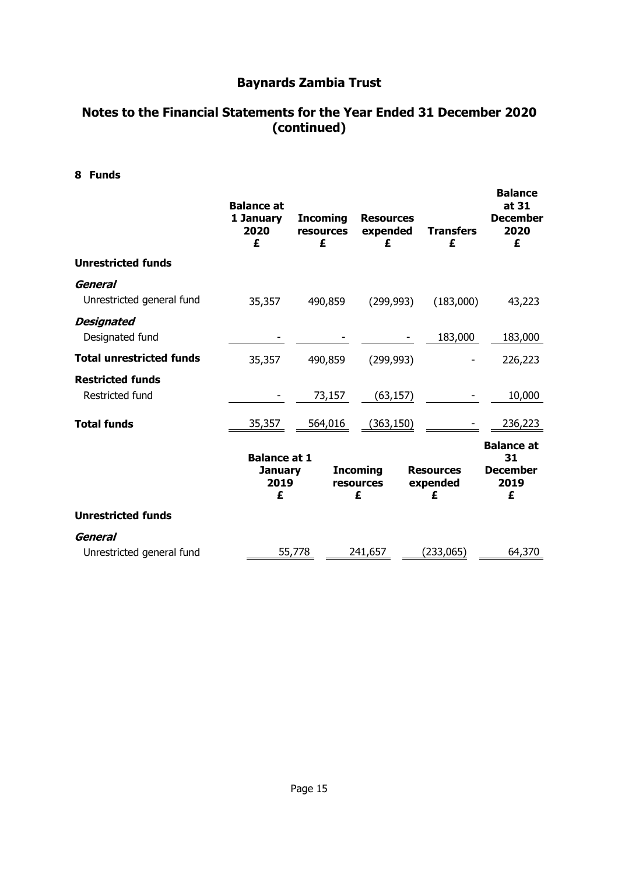# **Notes to the Financial Statements for the Year Ended 31 December 2020 (continued)**

**8 Funds**

|                                            | <b>Balance at</b><br>1 January<br>2020<br>£        | <b>Incoming</b><br><b>resources</b><br>£ | <b>Resources</b><br>expended<br>£ | <b>Transfers</b><br>£             | <b>Balance</b><br>at 31<br><b>December</b><br>2020<br>£ |
|--------------------------------------------|----------------------------------------------------|------------------------------------------|-----------------------------------|-----------------------------------|---------------------------------------------------------|
| <b>Unrestricted funds</b>                  |                                                    |                                          |                                   |                                   |                                                         |
| General<br>Unrestricted general fund       | 35,357                                             | 490,859                                  | (299, 993)                        | (183,000)                         | 43,223                                                  |
| <b>Designated</b><br>Designated fund       |                                                    |                                          |                                   | 183,000                           | 183,000                                                 |
| <b>Total unrestricted funds</b>            | 35,357                                             | 490,859                                  | (299, 993)                        |                                   | 226,223                                                 |
| <b>Restricted funds</b><br>Restricted fund |                                                    | 73,157                                   | (63, 157)                         |                                   | 10,000                                                  |
| <b>Total funds</b>                         | 35,357                                             | 564,016                                  | (363, 150)                        |                                   | 236,223                                                 |
|                                            | <b>Balance at 1</b><br><b>January</b><br>2019<br>£ |                                          | <b>Incoming</b><br>resources<br>£ | <b>Resources</b><br>expended<br>£ | <b>Balance at</b><br>31<br><b>December</b><br>2019<br>£ |
| <b>Unrestricted funds</b>                  |                                                    |                                          |                                   |                                   |                                                         |
| General<br>Unrestricted general fund       |                                                    | 55,778                                   | 241,657                           | (233,065)                         | 64,370                                                  |
|                                            |                                                    |                                          |                                   |                                   |                                                         |